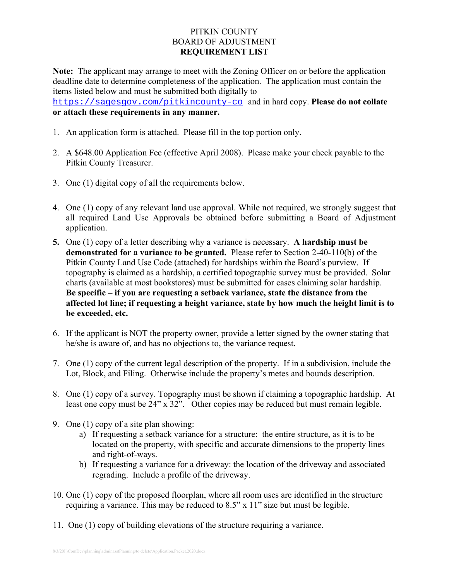# PITKIN COUNTY BOARD OF ADJUSTMENT **REQUIREMENT LIST**

**Note:** The applicant may arrange to meet with the Zoning Officer on or before the application deadline date to determine completeness of the application. The application must contain the items listed below and must be submitted both digitally to

https://sagesgov.com/pitkincounty-co and in hard copy. **Please do not collate or attach these requirements in any manner.** 

- 1. An application form is attached. Please fill in the top portion only.
- 2. A \$648.00 Application Fee (effective April 2008). Please make your check payable to the Pitkin County Treasurer.
- 3. One (1) digital copy of all the requirements below.
- 4. One (1) copy of any relevant land use approval. While not required, we strongly suggest that all required Land Use Approvals be obtained before submitting a Board of Adjustment application.
- **5.** One (1) copy of a letter describing why a variance is necessary. **A hardship must be demonstrated for a variance to be granted.** Please refer to Section 2-40-110(b) of the Pitkin County Land Use Code (attached) for hardships within the Board's purview. If topography is claimed as a hardship, a certified topographic survey must be provided. Solar charts (available at most bookstores) must be submitted for cases claiming solar hardship. **Be specific – if you are requesting a setback variance, state the distance from the affected lot line; if requesting a height variance, state by how much the height limit is to be exceeded, etc.**
- 6. If the applicant is NOT the property owner, provide a letter signed by the owner stating that he/she is aware of, and has no objections to, the variance request.
- 7. One (1) copy of the current legal description of the property. If in a subdivision, include the Lot, Block, and Filing. Otherwise include the property's metes and bounds description.
- 8. One (1) copy of a survey. Topography must be shown if claiming a topographic hardship. At least one copy must be 24" x 32". Other copies may be reduced but must remain legible.
- 9. One (1) copy of a site plan showing:
	- a) If requesting a setback variance for a structure: the entire structure, as it is to be located on the property, with specific and accurate dimensions to the property lines and right-of-ways.
	- b) If requesting a variance for a driveway: the location of the driveway and associated regrading. Include a profile of the driveway.
- 10. One (1) copy of the proposed floorplan, where all room uses are identified in the structure requiring a variance. This may be reduced to 8.5" x 11" size but must be legible.
- 11. One (1) copy of building elevations of the structure requiring a variance.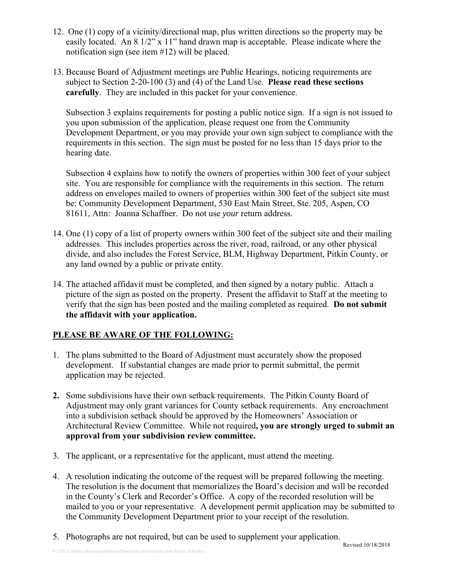- 12. One (1) copy of a vicinity/directional map, plus written directions so the property may be easily located. An 8 1/2" x 11" hand drawn map is acceptable. Please indicate where the notification sign (see item #12) will be placed.
- 13. Because Board of Adjustment meetings are Public Hearings, noticing requirements are subject to Section 2-20-100 (3) and (4) of the Land Use. **Please read these sections carefully**. They are included in this packet for your convenience.

Subsection 3 explains requirements for posting a public notice sign. If a sign is not issued to you upon submission of the application, please request one from the Community Development Department, or you may provide your own sign subject to compliance with the requirements in this section. The sign must be posted for no less than 15 days prior to the hearing date.

Subsection 4 explains how to notify the owners of properties within 300 feet of your subject site. You are responsible for compliance with the requirements in this section. The return address on envelopes mailed to owners of properties within 300 feet of the subject site must be: Community Development Department, 530 East Main Street, Ste. 205, Aspen, CO 81611, Attn: Joanna Schaffner. Do not use *your* return address.

- 14. One (1) copy of a list of property owners within 300 feet of the subject site and their mailing addresses.This includes properties across the river, road, railroad, or any other physical divide, and also includes the Forest Service, BLM, Highway Department, Pitkin County, or any land owned by a public or private entity.
- 14. The attached affidavit must be completed, and then signed by a notary public. Attach a picture of the sign as posted on the property. Present the affidavit to Staff at the meeting to verify that the sign has been posted and the mailing completed as required. **Do not submit the affidavit with your application.**

# **PLEASE BE AWARE OF THE FOLLOWING:**

- 1. The plans submitted to the Board of Adjustment must accurately show the proposed development. If substantial changes are made prior to permit submittal, the permit application may be rejected.
- **2.** Some subdivisions have their own setback requirements. The Pitkin County Board of Adjustment may only grant variances for County setback requirements. Any encroachment into a subdivision setback should be approved by the Homeowners' Association or Architectural Review Committee. While not required**, you are strongly urged to submit an approval from your subdivision review committee.**
- 3. The applicant, or a representative for the applicant, must attend the meeting.
- 4. A resolution indicating the outcome of the request will be prepared following the meeting. The resolution is the document that memorializes the Board's decision and will be recorded in the County's Clerk and Recorder's Office. A copy of the recorded resolution will be mailed to you or your representative. A development permit application may be submitted to the Community Development Department prior to your receipt of the resolution.
- 5. Photographs are not required, but can be used to supplement your application.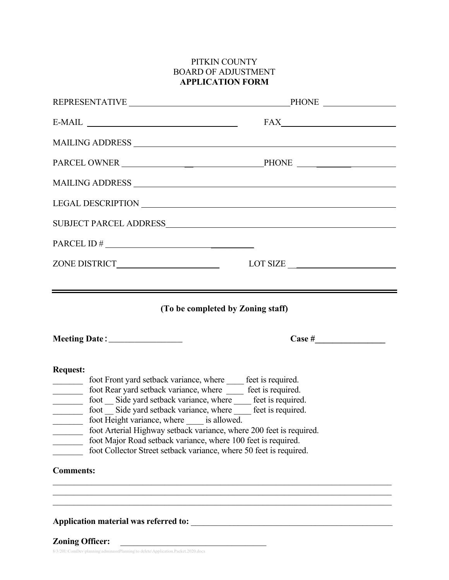# PITKIN COUNTY BOARD OF ADJUSTMENT **APPLICATION FORM**

| REPRESENTATIVE PHONE                                                                                                                                                                                                                                                                                                                                                                                                                                                                                                                                                                                                                                                                                                                                                                                                                                                                                                                                          |  |  |  |  |
|---------------------------------------------------------------------------------------------------------------------------------------------------------------------------------------------------------------------------------------------------------------------------------------------------------------------------------------------------------------------------------------------------------------------------------------------------------------------------------------------------------------------------------------------------------------------------------------------------------------------------------------------------------------------------------------------------------------------------------------------------------------------------------------------------------------------------------------------------------------------------------------------------------------------------------------------------------------|--|--|--|--|
|                                                                                                                                                                                                                                                                                                                                                                                                                                                                                                                                                                                                                                                                                                                                                                                                                                                                                                                                                               |  |  |  |  |
|                                                                                                                                                                                                                                                                                                                                                                                                                                                                                                                                                                                                                                                                                                                                                                                                                                                                                                                                                               |  |  |  |  |
|                                                                                                                                                                                                                                                                                                                                                                                                                                                                                                                                                                                                                                                                                                                                                                                                                                                                                                                                                               |  |  |  |  |
|                                                                                                                                                                                                                                                                                                                                                                                                                                                                                                                                                                                                                                                                                                                                                                                                                                                                                                                                                               |  |  |  |  |
|                                                                                                                                                                                                                                                                                                                                                                                                                                                                                                                                                                                                                                                                                                                                                                                                                                                                                                                                                               |  |  |  |  |
|                                                                                                                                                                                                                                                                                                                                                                                                                                                                                                                                                                                                                                                                                                                                                                                                                                                                                                                                                               |  |  |  |  |
| $PARCEL ID # \n$                                                                                                                                                                                                                                                                                                                                                                                                                                                                                                                                                                                                                                                                                                                                                                                                                                                                                                                                              |  |  |  |  |
|                                                                                                                                                                                                                                                                                                                                                                                                                                                                                                                                                                                                                                                                                                                                                                                                                                                                                                                                                               |  |  |  |  |
| (To be completed by Zoning staff)<br>Meeting Date: _________________                                                                                                                                                                                                                                                                                                                                                                                                                                                                                                                                                                                                                                                                                                                                                                                                                                                                                          |  |  |  |  |
| <b>Request:</b><br>foot Front yard setback variance, where _____ feet is required.<br>foot Rear yard setback variance, where _____ feet is required.<br>foot Side yard setback variance, where feet is required.<br>foot Side yard setback variance, where set is required.<br>$\frac{1}{1-\frac{1}{1-\frac{1}{1-\frac{1}{1-\frac{1}{1-\frac{1}{1-\frac{1}{1-\frac{1}{1-\frac{1}{1-\frac{1}{1-\frac{1}{1-\frac{1}{1-\frac{1}{1-\frac{1}{1-\frac{1}{1-\frac{1}{1-\frac{1}{1-\frac{1}{1-\frac{1}{1-\frac{1}{1-\frac{1}{1-\frac{1}{1-\frac{1}{1-\frac{1}{1-\frac{1}{1-\frac{1}{1-\frac{1}{1-\frac{1}{1-\frac{1}{1-\frac{1}{1-\frac{1}{1-\frac{1}{1-\frac{1}{1-\frac{1}{1-\frac{1}{1-\frac{1}{1-\frac{1$<br>foot Height variance, where is allowed.<br>foot Arterial Highway setback variance, where 200 feet is required.<br>foot Major Road setback variance, where 100 feet is required.<br>foot Collector Street setback variance, where 50 feet is required. |  |  |  |  |
| <b>Comments:</b>                                                                                                                                                                                                                                                                                                                                                                                                                                                                                                                                                                                                                                                                                                                                                                                                                                                                                                                                              |  |  |  |  |
| Application material was referred to:                                                                                                                                                                                                                                                                                                                                                                                                                                                                                                                                                                                                                                                                                                                                                                                                                                                                                                                         |  |  |  |  |

**Zoning Officer:** \_\_\_\_\_\_\_\_\_\_\_\_\_\_\_\_\_\_\_\_\_\_\_\_\_\_\_\_\_\_\_\_\_\_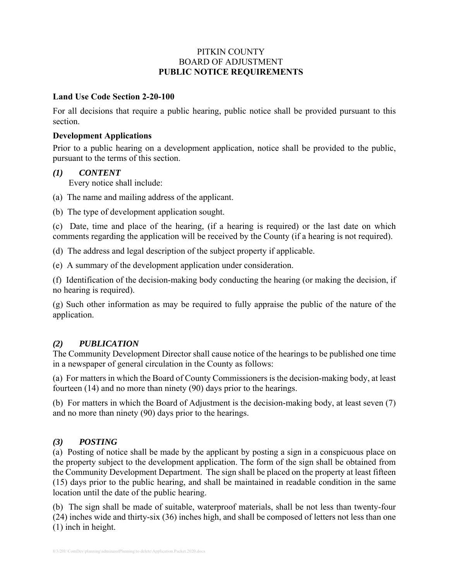### PITKIN COUNTY BOARD OF ADJUSTMENT **PUBLIC NOTICE REQUIREMENTS**

#### **Land Use Code Section 2-20-100**

For all decisions that require a public hearing, public notice shall be provided pursuant to this section.

#### **Development Applications**

Prior to a public hearing on a development application, notice shall be provided to the public, pursuant to the terms of this section.

#### *(1) CONTENT*

Every notice shall include:

(a) The name and mailing address of the applicant.

(b) The type of development application sought.

(c) Date, time and place of the hearing, (if a hearing is required) or the last date on which comments regarding the application will be received by the County (if a hearing is not required).

(d) The address and legal description of the subject property if applicable.

(e) A summary of the development application under consideration.

(f) Identification of the decision-making body conducting the hearing (or making the decision, if no hearing is required).

(g) Such other information as may be required to fully appraise the public of the nature of the application.

# *(2) PUBLICATION*

The Community Development Director shall cause notice of the hearings to be published one time in a newspaper of general circulation in the County as follows:

(a) For matters in which the Board of County Commissioners is the decision-making body, at least fourteen (14) and no more than ninety (90) days prior to the hearings.

(b) For matters in which the Board of Adjustment is the decision-making body, at least seven (7) and no more than ninety (90) days prior to the hearings.

#### *(3) POSTING*

(a) Posting of notice shall be made by the applicant by posting a sign in a conspicuous place on the property subject to the development application. The form of the sign shall be obtained from the Community Development Department. The sign shall be placed on the property at least fifteen (15) days prior to the public hearing, and shall be maintained in readable condition in the same location until the date of the public hearing.

(b) The sign shall be made of suitable, waterproof materials, shall be not less than twenty-four (24) inches wide and thirty-six (36) inches high, and shall be composed of letters not less than one (1) inch in height.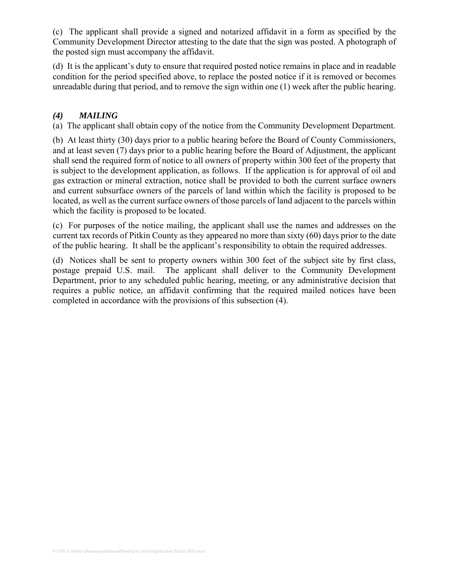(c) The applicant shall provide a signed and notarized affidavit in a form as specified by the Community Development Director attesting to the date that the sign was posted. A photograph of the posted sign must accompany the affidavit.

(d) It is the applicant's duty to ensure that required posted notice remains in place and in readable condition for the period specified above, to replace the posted notice if it is removed or becomes unreadable during that period, and to remove the sign within one (1) week after the public hearing.

# *(4) MAILING*

(a) The applicant shall obtain copy of the notice from the Community Development Department.

(b) At least thirty (30) days prior to a public hearing before the Board of County Commissioners, and at least seven (7) days prior to a public hearing before the Board of Adjustment, the applicant shall send the required form of notice to all owners of property within 300 feet of the property that is subject to the development application, as follows. If the application is for approval of oil and gas extraction or mineral extraction, notice shall be provided to both the current surface owners and current subsurface owners of the parcels of land within which the facility is proposed to be located, as well as the current surface owners of those parcels of land adjacent to the parcels within which the facility is proposed to be located.

(c) For purposes of the notice mailing, the applicant shall use the names and addresses on the current tax records of Pitkin County as they appeared no more than sixty (60) days prior to the date of the public hearing. It shall be the applicant's responsibility to obtain the required addresses.

(d) Notices shall be sent to property owners within 300 feet of the subject site by first class, postage prepaid U.S. mail. The applicant shall deliver to the Community Development Department, prior to any scheduled public hearing, meeting, or any administrative decision that requires a public notice, an affidavit confirming that the required mailed notices have been completed in accordance with the provisions of this subsection (4).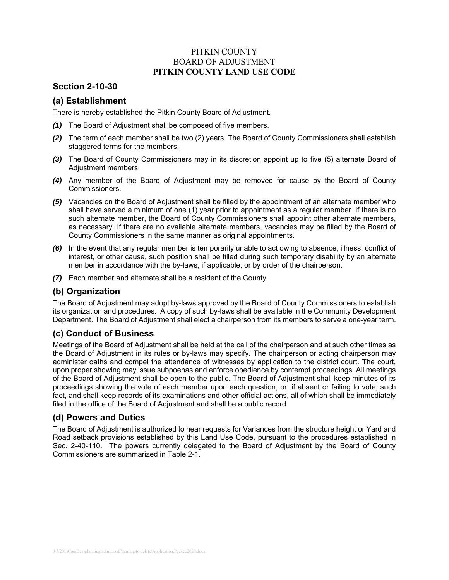### PITKIN COUNTY BOARD OF ADJUSTMENT **PITKIN COUNTY LAND USE CODE**

### **Section 2-10-30**

## **(a) Establishment**

There is hereby established the Pitkin County Board of Adjustment.

- *(1)* The Board of Adjustment shall be composed of five members.
- *(2)* The term of each member shall be two (2) years. The Board of County Commissioners shall establish staggered terms for the members.
- *(3)* The Board of County Commissioners may in its discretion appoint up to five (5) alternate Board of Adjustment members.
- *(4)* Any member of the Board of Adjustment may be removed for cause by the Board of County Commissioners.
- *(5)* Vacancies on the Board of Adjustment shall be filled by the appointment of an alternate member who shall have served a minimum of one (1) year prior to appointment as a regular member. If there is no such alternate member, the Board of County Commissioners shall appoint other alternate members, as necessary. If there are no available alternate members, vacancies may be filled by the Board of County Commissioners in the same manner as original appointments.
- *(6)* In the event that any regular member is temporarily unable to act owing to absence, illness, conflict of interest, or other cause, such position shall be filled during such temporary disability by an alternate member in accordance with the by-laws, if applicable, or by order of the chairperson.
- *(7)* Each member and alternate shall be a resident of the County.

#### **(b) Organization**

The Board of Adjustment may adopt by-laws approved by the Board of County Commissioners to establish its organization and procedures. A copy of such by-laws shall be available in the Community Development Department. The Board of Adjustment shall elect a chairperson from its members to serve a one-year term.

# **(c) Conduct of Business**

Meetings of the Board of Adjustment shall be held at the call of the chairperson and at such other times as the Board of Adjustment in its rules or by-laws may specify. The chairperson or acting chairperson may administer oaths and compel the attendance of witnesses by application to the district court. The court, upon proper showing may issue subpoenas and enforce obedience by contempt proceedings. All meetings of the Board of Adjustment shall be open to the public. The Board of Adjustment shall keep minutes of its proceedings showing the vote of each member upon each question, or, if absent or failing to vote, such fact, and shall keep records of its examinations and other official actions, all of which shall be immediately filed in the office of the Board of Adjustment and shall be a public record.

#### **(d) Powers and Duties**

The Board of Adjustment is authorized to hear requests for Variances from the structure height or Yard and Road setback provisions established by this Land Use Code, pursuant to the procedures established in Sec. 2-40-110. The powers currently delegated to the Board of Adjustment by the Board of County Commissioners are summarized in Table 2-1.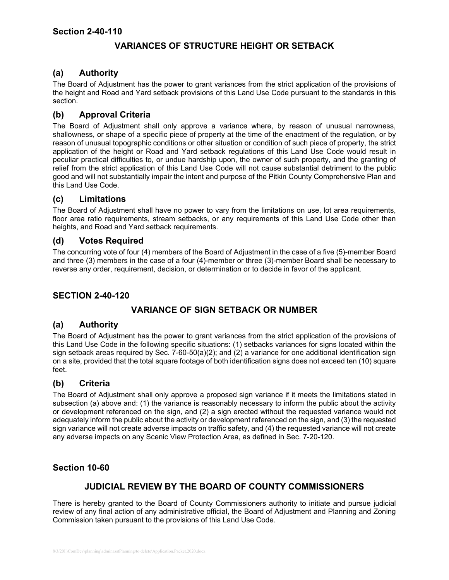# **VARIANCES OF STRUCTURE HEIGHT OR SETBACK**

### **(a) Authority**

The Board of Adjustment has the power to grant variances from the strict application of the provisions of the height and Road and Yard setback provisions of this Land Use Code pursuant to the standards in this section.

## **(b) Approval Criteria**

The Board of Adjustment shall only approve a variance where, by reason of unusual narrowness, shallowness, or shape of a specific piece of property at the time of the enactment of the regulation, or by reason of unusual topographic conditions or other situation or condition of such piece of property, the strict application of the height or Road and Yard setback regulations of this Land Use Code would result in peculiar practical difficulties to, or undue hardship upon, the owner of such property, and the granting of relief from the strict application of this Land Use Code will not cause substantial detriment to the public good and will not substantially impair the intent and purpose of the Pitkin County Comprehensive Plan and this Land Use Code.

#### **(c) Limitations**

The Board of Adjustment shall have no power to vary from the limitations on use, lot area requirements, floor area ratio requirements, stream setbacks, or any requirements of this Land Use Code other than heights, and Road and Yard setback requirements.

#### **(d) Votes Required**

The concurring vote of four (4) members of the Board of Adjustment in the case of a five (5)-member Board and three (3) members in the case of a four (4)-member or three (3)-member Board shall be necessary to reverse any order, requirement, decision, or determination or to decide in favor of the applicant.

#### **SECTION 2-40-120**

# **VARIANCE OF SIGN SETBACK OR NUMBER**

#### **(a) Authority**

The Board of Adjustment has the power to grant variances from the strict application of the provisions of this Land Use Code in the following specific situations: (1) setbacks variances for signs located within the sign setback areas required by Sec. 7-60-50(a)(2); and (2) a variance for one additional identification sign on a site, provided that the total square footage of both identification signs does not exceed ten (10) square feet.

#### **(b) Criteria**

The Board of Adjustment shall only approve a proposed sign variance if it meets the limitations stated in subsection (a) above and: (1) the variance is reasonably necessary to inform the public about the activity or development referenced on the sign, and (2) a sign erected without the requested variance would not adequately inform the public about the activity or development referenced on the sign, and (3) the requested sign variance will not create adverse impacts on traffic safety, and (4) the requested variance will not create any adverse impacts on any Scenic View Protection Area, as defined in Sec. 7-20-120.

### **Section 10-60**

# **JUDICIAL REVIEW BY THE BOARD OF COUNTY COMMISSIONERS**

There is hereby granted to the Board of County Commissioners authority to initiate and pursue judicial review of any final action of any administrative official, the Board of Adjustment and Planning and Zoning Commission taken pursuant to the provisions of this Land Use Code.